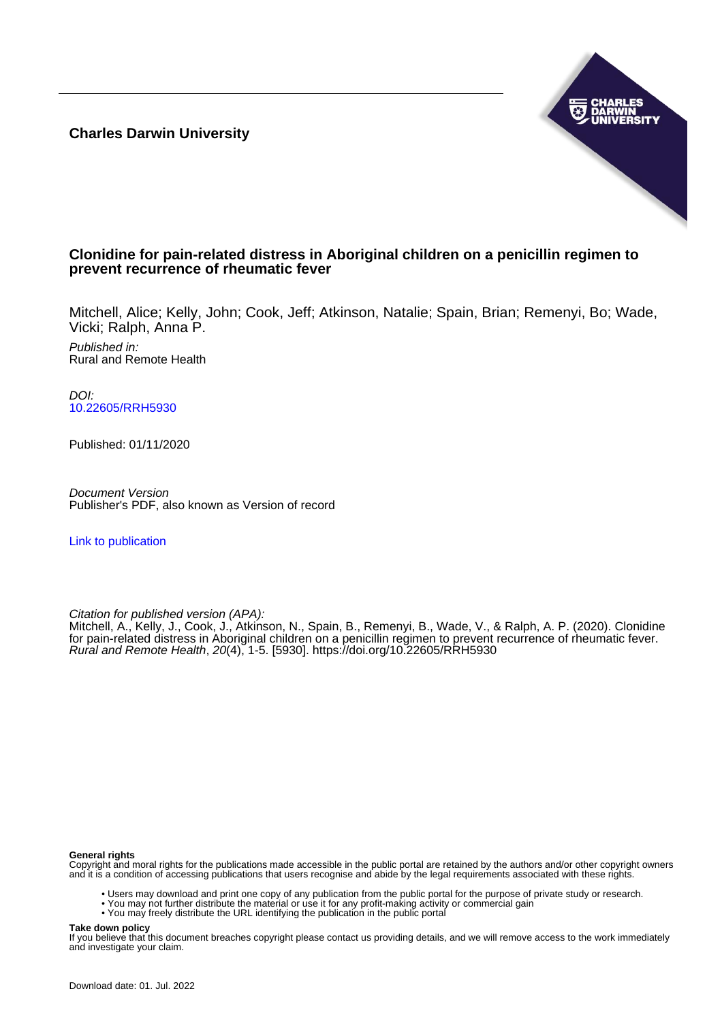**Charles Darwin University**



# **Clonidine for pain-related distress in Aboriginal children on a penicillin regimen to prevent recurrence of rheumatic fever**

Mitchell, Alice; Kelly, John; Cook, Jeff; Atkinson, Natalie; Spain, Brian; Remenyi, Bo; Wade, Vicki; Ralph, Anna P.

Published in: Rural and Remote Health

DOI: [10.22605/RRH5930](https://doi.org/10.22605/RRH5930)

Published: 01/11/2020

Document Version Publisher's PDF, also known as Version of record

[Link to publication](https://researchers.cdu.edu.au/en/publications/475ff0cb-8e23-4dca-901e-210cfb85dd64)

Citation for published version (APA):

Mitchell, A., Kelly, J., Cook, J., Atkinson, N., Spain, B., Remenyi, B., Wade, V., & Ralph, A. P. (2020). Clonidine for pain-related distress in Aboriginal children on a penicillin regimen to prevent recurrence of rheumatic fever. Rural and Remote Health, 20(4), 1-5. [5930]. <https://doi.org/10.22605/RRH5930>

#### **General rights**

Copyright and moral rights for the publications made accessible in the public portal are retained by the authors and/or other copyright owners and it is a condition of accessing publications that users recognise and abide by the legal requirements associated with these rights.

- Users may download and print one copy of any publication from the public portal for the purpose of private study or research.
- You may not further distribute the material or use it for any profit-making activity or commercial gain
- You may freely distribute the URL identifying the publication in the public portal

#### **Take down policy**

If you believe that this document breaches copyright please contact us providing details, and we will remove access to the work immediately and investigate your claim.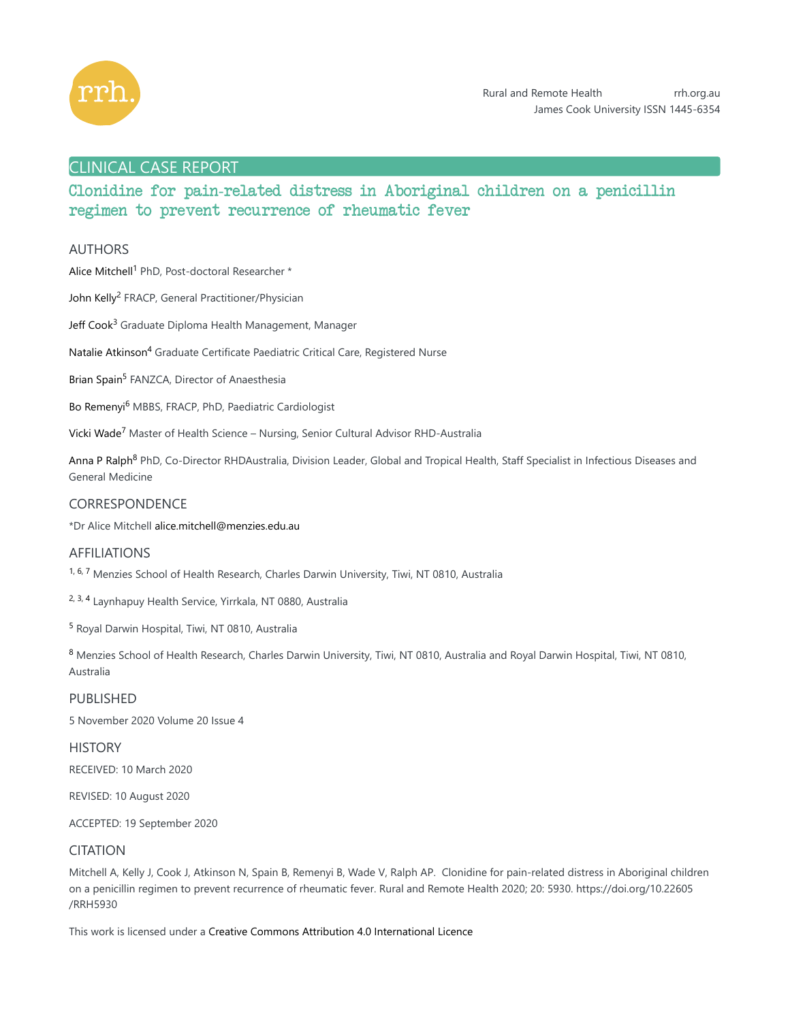

# CLINICAL CASE REPORT

# Clonidine for pain-related distress in Aboriginal children on a penicillin regimen to prevent recurrence of rheumatic fever

## AUTHORS

Alice Mitchell<sup>1</sup> PhD, Post-doctoral Researcher \*

John Kelly<sup>2</sup> FRACP, General Practitioner/Physician

Jeff Cook<sup>3</sup> Graduate Diploma Health Management, Manager

Natalie Atkinson<sup>4</sup> Graduate Certificate Paediatric Critical Care, Registered Nurse

Brian Spain<sup>5</sup> FANZCA, Director of Anaesthesia

Bo Remenyi<sup>6</sup> MBBS, FRACP, PhD, Paediatric Cardiologist

Vicki Wade<sup>7</sup> Master of Health Science – Nursing, Senior Cultural Advisor RHD-Australia

Anna P Ralph<sup>8</sup> PhD, Co-Director RHDAustralia, Division Leader, Global and Tropical Health, Staff Specialist in Infectious Diseases and General Medicine

## **CORRESPONDENCE**

\*Dr Alice Mitchell alice.mitchell@menzies.edu.au

## AFFILIATIONS

<sup>1, 6, 7</sup> Menzies School of Health Research, Charles Darwin University, Tiwi, NT 0810, Australia

<sup>2, 3, 4</sup> Laynhapuy Health Service, Yirrkala, NT 0880, Australia

<sup>5</sup> Royal Darwin Hospital, Tiwi, NT 0810, Australia

8 Menzies School of Health Research, Charles Darwin University, Tiwi, NT 0810, Australia and Royal Darwin Hospital, Tiwi, NT 0810, Australia

PUBLISHED 5 November 2020 Volume 20 Issue 4

**HISTORY** 

RECEIVED: 10 March 2020

REVISED: 10 August 2020

ACCEPTED: 19 September 2020

## CITATION

Mitchell A, Kelly J, Cook J, Atkinson N, Spain B, Remenyi B, Wade V, Ralph AP. Clonidine for pain-related distress in Aboriginal children on a penicillin regimen to prevent recurrence of rheumatic fever. Rural and Remote Health 2020; 20: 5930. https://doi.org/10.22605 /RRH5930

This work is licensed under a Creative Commons Attribution 4.0 International Licence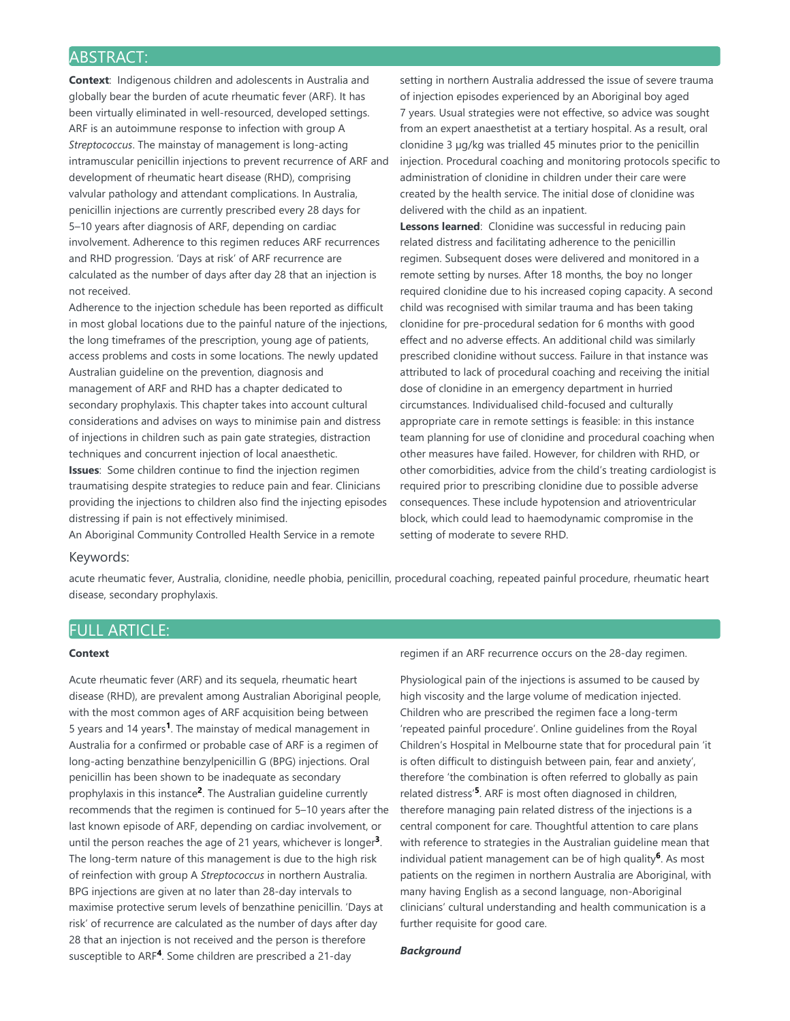# ABSTRACT:

**Context:** Indigenous children and adolescents in Australia and globally bear the burden of acute rheumatic fever (ARF). It has been virtually eliminated in well-resourced, developed settings. ARF is an autoimmune response to infection with group A *Streptococcus*. The mainstay of management is long-acting intramuscular penicillin injections to prevent recurrence of ARF and development of rheumatic heart disease (RHD), comprising valvular pathology and attendant complications. In Australia, penicillin injections are currently prescribed every 28 days for 5–10 years after diagnosis of ARF, depending on cardiac involvement. Adherence to this regimen reduces ARF recurrences and RHD progression. 'Days at risk' of ARF recurrence are calculated as the number of days after day 28 that an injection is not received.

Adherence to the injection schedule has been reported as difficult in most global locations due to the painful nature of the injections, the long timeframes of the prescription, young age of patients, access problems and costs in some locations. The newly updated Australian guideline on the prevention, diagnosis and management of ARF and RHD has a chapter dedicated to secondary prophylaxis. This chapter takes into account cultural considerations and advises on ways to minimise pain and distress of injections in children such as pain gate strategies, distraction techniques and concurrent injection of local anaesthetic. **Issues**: Some children continue to find the injection regimen

traumatising despite strategies to reduce pain and fear. Clinicians providing the injections to children also find the injecting episodes distressing if pain is not effectively minimised.

An Aboriginal Community Controlled Health Service in a remote

setting in northern Australia addressed the issue of severe trauma of injection episodes experienced by an Aboriginal boy aged 7 years. Usual strategies were not effective, so advice was sought from an expert anaesthetist at a tertiary hospital. As a result, oral clonidine 3 µg/kg was trialled 45 minutes prior to the penicillin injection. Procedural coaching and monitoring protocols specific to administration of clonidine in children under their care were created by the health service. The initial dose of clonidine was delivered with the child as an inpatient.

Lessons learned: Clonidine was successful in reducing pain related distress and facilitating adherence to the penicillin regimen. Subsequent doses were delivered and monitored in a remote setting by nurses. After 18 months, the boy no longer required clonidine due to his increased coping capacity. A second child was recognised with similar trauma and has been taking clonidine for pre-procedural sedation for 6 months with good effect and no adverse effects. An additional child was similarly prescribed clonidine without success. Failure in that instance was attributed to lack of procedural coaching and receiving the initial dose of clonidine in an emergency department in hurried circumstances. Individualised child-focused and culturally appropriate care in remote settings is feasible: in this instance team planning for use of clonidine and procedural coaching when other measures have failed. However, for children with RHD, or other comorbidities, advice from the child's treating cardiologist is required prior to prescribing clonidine due to possible adverse consequences. These include hypotension and atrioventricular block, which could lead to haemodynamic compromise in the setting of moderate to severe RHD.

## Keywords:

acute rheumatic fever, Australia, clonidine, needle phobia, penicillin, procedural coaching, repeated painful procedure, rheumatic heart disease, secondary prophylaxis.

# FULL ARTICLE:

### **Context**

Acute rheumatic fever (ARF) and its sequela, rheumatic heart disease (RHD), are prevalent among Australian Aboriginal people, with the most common ages of ARF acquisition being between 5 years and 14 years<sup>1</sup>. The mainstay of medical management in Australia for a confirmed or probable case of ARF is a regimen of long-acting benzathine benzylpenicillin G (BPG) injections. Oral penicillin has been shown to be inadequate as secondary prophylaxis in this instance<sup>2</sup>. The Australian guideline currently recommends that the regimen is continued for 5–10 years after the last known episode of ARF, depending on cardiac involvement, or until the person reaches the age of 21 years, whichever is longer<sup>3</sup>. The long-term nature of this management is due to the high risk of reinfection with group A *Streptococcus* in northern Australia. BPG injections are given at no later than 28-day intervals to maximise protective serum levels of benzathine penicillin. 'Days at risk' of recurrence are calculated as the number of days after day 28 that an injection is not received and the person is therefore susceptible to ARF<sup>4</sup>. Some children are prescribed a 21-day

regimen if an ARF recurrence occurs on the 28-day regimen.

Physiological pain of the injections is assumed to be caused by high viscosity and the large volume of medication injected. Children who are prescribed the regimen face a long-term 'repeated painful procedure'. Online guidelines from the Royal Children's Hospital in Melbourne state that for procedural pain 'it is often difficult to distinguish between pain, fear and anxiety', therefore 'the combination is often referred to globally as pain related distress'<sup>5</sup>. ARF is most often diagnosed in children, therefore managing pain related distress of the injections is a central component for care. Thoughtful attention to care plans with reference to strategies in the Australian guideline mean that individual patient management can be of high quality<sup>6</sup>. As most patients on the regimen in northern Australia are Aboriginal, with many having English as a second language, non-Aboriginal clinicians' cultural understanding and health communication is a further requisite for good care.

## *Background*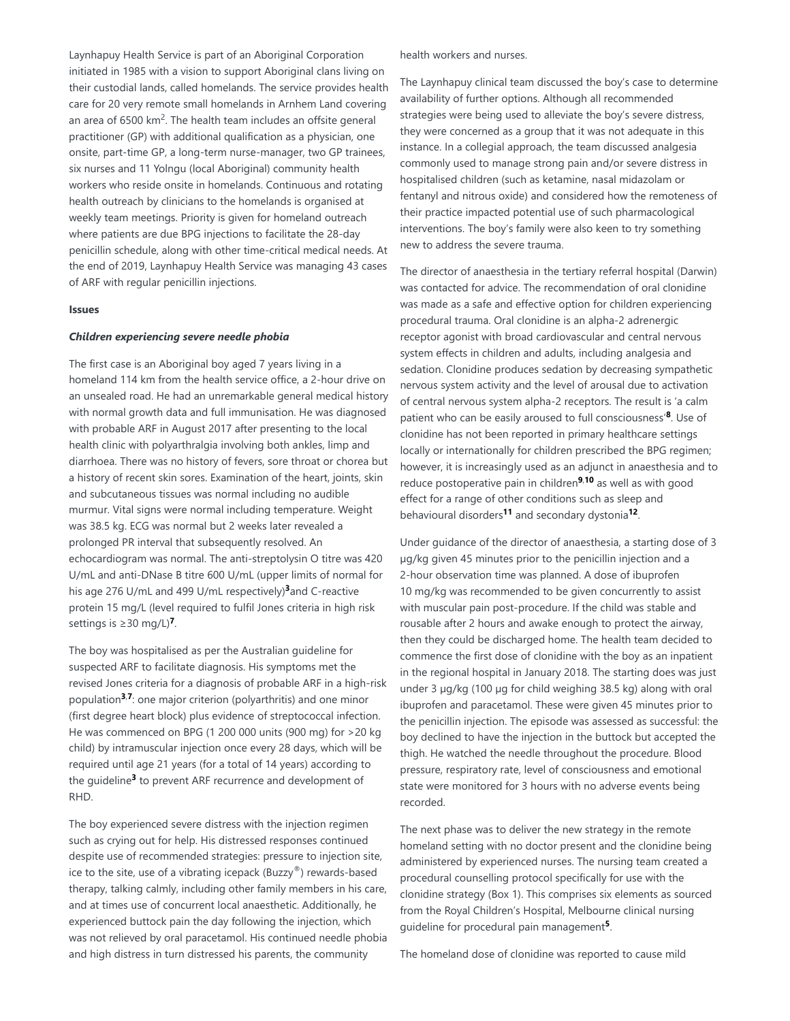Laynhapuy Health Service is part of an Aboriginal Corporation initiated in 1985 with a vision to support Aboriginal clans living on their custodial lands, called homelands. The service provides health care for 20 very remote small homelands in Arnhem Land covering an area of 6500 km<sup>2</sup>. The health team includes an offsite general practitioner (GP) with additional qualification as a physician, one onsite, part-time GP, a long-term nurse-manager, two GP trainees, six nurses and 11 Yolngu (local Aboriginal) community health workers who reside onsite in homelands. Continuous and rotating health outreach by clinicians to the homelands is organised at weekly team meetings. Priority is given for homeland outreach where patients are due BPG injections to facilitate the 28-day penicillin schedule, along with other time-critical medical needs. At the end of 2019, Laynhapuy Health Service was managing 43 cases of ARF with regular penicillin injections.

#### **Issues**

#### *Children experiencing severe needle phobia*

The first case is an Aboriginal boy aged 7 years living in a homeland 114 km from the health service office, a 2-hour drive on an unsealed road. He had an unremarkable general medical history with normal growth data and full immunisation. He was diagnosed with probable ARF in August 2017 after presenting to the local health clinic with polyarthralgia involving both ankles, limp and diarrhoea. There was no history of fevers, sore throat or chorea but a history of recent skin sores. Examination of the heart, joints, skin and subcutaneous tissues was normal including no audible murmur. Vital signs were normal including temperature. Weight was 38.5 kg. ECG was normal but 2 weeks later revealed a prolonged PR interval that subsequently resolved. An echocardiogram was normal. The anti-streptolysin O titre was 420 U/mL and anti-DNase B titre 600 U/mL (upper limits of normal for his age 276 U/mL and 499 U/mL respectively)<sup>3</sup> and C-reactive protein 15 mg/L (level required to fulfil Jones criteria in high risk settings is ≥30 mg/L)<sup>7</sup>.

The boy was hospitalised as per the Australian guideline for suspected ARF to facilitate diagnosis. His symptoms met the revised Jones criteria for a diagnosis of probable ARF in a high-risk population<sup>3,7</sup>: one major criterion (polyarthritis) and one minor (first degree heart block) plus evidence of streptococcal infection. He was commenced on BPG (1 200 000 units (900 mg) for >20 kg child) by intramuscular injection once every 28 days, which will be required until age 21 years (for a total of 14 years) according to the guideline<sup>3</sup> to prevent ARF recurrence and development of RHD.

The boy experienced severe distress with the injection regimen such as crying out for help. His distressed responses continued despite use of recommended strategies: pressure to injection site, ice to the site, use of a vibrating icepack (Buzzy®) rewards-based therapy, talking calmly, including other family members in his care, and at times use of concurrent local anaesthetic. Additionally, he experienced buttock pain the day following the injection, which was not relieved by oral paracetamol. His continued needle phobia and high distress in turn distressed his parents, the community

health workers and nurses.

The Laynhapuy clinical team discussed the boy's case to determine availability of further options. Although all recommended strategies were being used to alleviate the boy's severe distress, they were concerned as a group that it was not adequate in this instance. In a collegial approach, the team discussed analgesia commonly used to manage strong pain and/or severe distress in hospitalised children (such as ketamine, nasal midazolam or fentanyl and nitrous oxide) and considered how the remoteness of their practice impacted potential use of such pharmacological interventions. The boy's family were also keen to try something new to address the severe trauma.

The director of anaesthesia in the tertiary referral hospital (Darwin) was contacted for advice. The recommendation of oral clonidine was made as a safe and effective option for children experiencing procedural trauma. Oral clonidine is an alpha-2 adrenergic receptor agonist with broad cardiovascular and central nervous system effects in children and adults, including analgesia and sedation. Clonidine produces sedation by decreasing sympathetic nervous system activity and the level of arousal due to activation of central nervous system alpha-2 receptors. The result is 'a calm patient who can be easily aroused to full consciousness'<sup>8</sup>. Use of clonidine has not been reported in primary healthcare settings locally or internationally for children prescribed the BPG regimen; however, it is increasingly used as an adjunct in anaesthesia and to reduce postoperative pain in children<sup>9,10</sup> as well as with good effect for a range of other conditions such as sleep and behavioural disorders<sup>11</sup> and secondary dystonia<sup>12</sup>.

Under guidance of the director of anaesthesia, a starting dose of 3 µg/kg given 45 minutes prior to the penicillin injection and a 2-hour observation time was planned. A dose of ibuprofen 10 mg/kg was recommended to be given concurrently to assist with muscular pain post-procedure. If the child was stable and rousable after 2 hours and awake enough to protect the airway, then they could be discharged home. The health team decided to commence the first dose of clonidine with the boy as an inpatient in the regional hospital in January 2018. The starting does was just under 3 µg/kg (100 µg for child weighing 38.5 kg) along with oral ibuprofen and paracetamol. These were given 45 minutes prior to the penicillin injection. The episode was assessed as successful: the boy declined to have the injection in the buttock but accepted the thigh. He watched the needle throughout the procedure. Blood pressure, respiratory rate, level of consciousness and emotional state were monitored for 3 hours with no adverse events being recorded.

The next phase was to deliver the new strategy in the remote homeland setting with no doctor present and the clonidine being administered by experienced nurses. The nursing team created a procedural counselling protocol specifically for use with the clonidine strategy (Box 1). This comprises six elements as sourced from the Royal Children's Hospital, Melbourne clinical nursing guideline for procedural pain management<sup>5</sup>.

The homeland dose of clonidine was reported to cause mild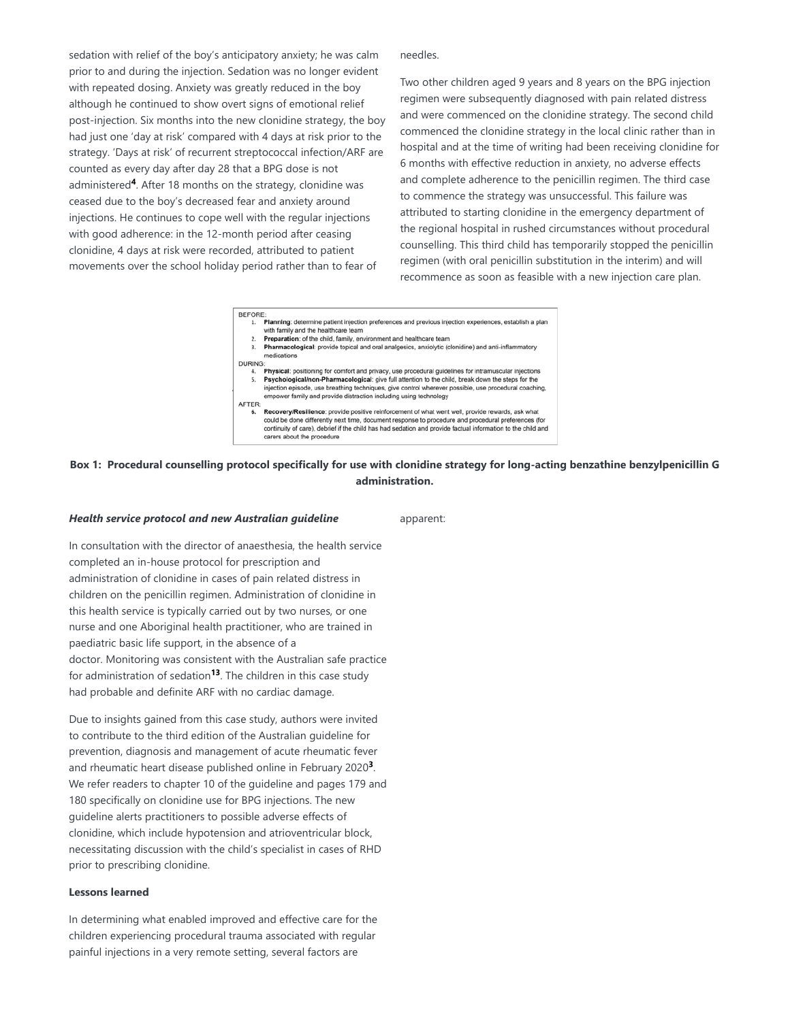sedation with relief of the boy's anticipatory anxiety; he was calm prior to and during the injection. Sedation was no longer evident with repeated dosing. Anxiety was greatly reduced in the boy although he continued to show overt signs of emotional relief post-injection. Six months into the new clonidine strategy, the boy had just one 'day at risk' compared with 4 days at risk prior to the strategy. 'Days at risk' of recurrent streptococcal infection/ARF are counted as every day after day 28 that a BPG dose is not administered<sup>4</sup>. After 18 months on the strategy, clonidine was ceased due to the boy's decreased fear and anxiety around injections. He continues to cope well with the regular injections with good adherence: in the 12-month period after ceasing clonidine, 4 days at risk were recorded, attributed to patient movements over the school holiday period rather than to fear of

needles.

Two other children aged 9 years and 8 years on the BPG injection regimen were subsequently diagnosed with pain related distress and were commenced on the clonidine strategy. The second child commenced the clonidine strategy in the local clinic rather than in hospital and at the time of writing had been receiving clonidine for 6 months with effective reduction in anxiety, no adverse effects and complete adherence to the penicillin regimen. The third case to commence the strategy was unsuccessful. This failure was attributed to starting clonidine in the emergency department of the regional hospital in rushed circumstances without procedural counselling. This third child has temporarily stopped the penicillin regimen (with oral penicillin substitution in the interim) and will recommence as soon as feasible with a new injection care plan.



## **Box 1: Procedural counselling protocol specifically for use with clonidine strategy for long-acting benzathine benzylpenicillin G administration.**

### *Health service protocol and new Australian guideline*

apparent:

In consultation with the director of anaesthesia, the health service completed an in-house protocol for prescription and administration of clonidine in cases of pain related distress in children on the penicillin regimen. Administration of clonidine in this health service is typically carried out by two nurses, or one nurse and one Aboriginal health practitioner, who are trained in paediatric basic life support, in the absence of a doctor. Monitoring was consistent with the Australian safe practice for administration of sedation<sup>13</sup>. The children in this case study had probable and definite ARF with no cardiac damage.

Due to insights gained from this case study, authors were invited to contribute to the third edition of the Australian guideline for prevention, diagnosis and management of acute rheumatic fever and rheumatic heart disease published online in February 2020<sup>3</sup>. We refer readers to chapter 10 of the guideline and pages 179 and 180 specifically on clonidine use for BPG injections. The new guideline alerts practitioners to possible adverse effects of clonidine, which include hypotension and atrioventricular block, necessitating discussion with the child's specialist in cases of RHD prior to prescribing clonidine.

## **Lessons learned**

In determining what enabled improved and effective care for the children experiencing procedural trauma associated with regular painful injections in a very remote setting, several factors are